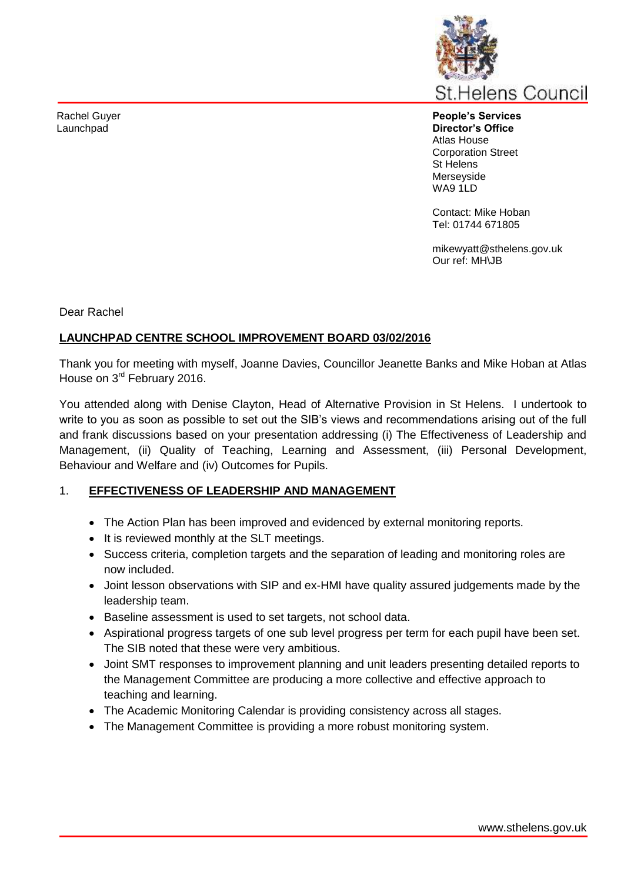Rachel Guyer Launchpad



**People's Services Director's Office** Atlas House Corporation Street St Helens Merseyside WA9 1LD

Contact: Mike Hoban Tel: 01744 671805

mikewyatt@sthelens.gov.uk Our ref: MH\JB

Dear Rachel

#### **LAUNCHPAD CENTRE SCHOOL IMPROVEMENT BOARD 03/02/2016**

Thank you for meeting with myself, Joanne Davies, Councillor Jeanette Banks and Mike Hoban at Atlas House on 3rd February 2016.

You attended along with Denise Clayton, Head of Alternative Provision in St Helens. I undertook to write to you as soon as possible to set out the SIB's views and recommendations arising out of the full and frank discussions based on your presentation addressing (i) The Effectiveness of Leadership and Management, (ii) Quality of Teaching, Learning and Assessment, (iii) Personal Development, Behaviour and Welfare and (iv) Outcomes for Pupils.

#### 1. **EFFECTIVENESS OF LEADERSHIP AND MANAGEMENT**

- The Action Plan has been improved and evidenced by external monitoring reports.
- It is reviewed monthly at the SLT meetings.
- Success criteria, completion targets and the separation of leading and monitoring roles are now included.
- Joint lesson observations with SIP and ex-HMI have quality assured judgements made by the leadership team.
- Baseline assessment is used to set targets, not school data.
- Aspirational progress targets of one sub level progress per term for each pupil have been set. The SIB noted that these were very ambitious.
- Joint SMT responses to improvement planning and unit leaders presenting detailed reports to the Management Committee are producing a more collective and effective approach to teaching and learning.
- The Academic Monitoring Calendar is providing consistency across all stages.
- The Management Committee is providing a more robust monitoring system.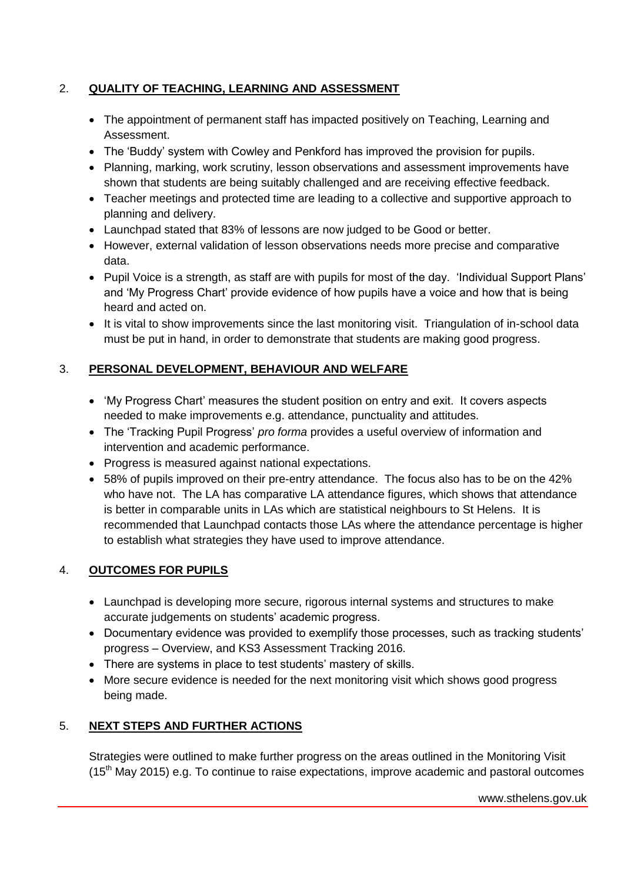## 2. **QUALITY OF TEACHING, LEARNING AND ASSESSMENT**

- The appointment of permanent staff has impacted positively on Teaching, Learning and Assessment.
- The 'Buddy' system with Cowley and Penkford has improved the provision for pupils.
- Planning, marking, work scrutiny, lesson observations and assessment improvements have shown that students are being suitably challenged and are receiving effective feedback.
- Teacher meetings and protected time are leading to a collective and supportive approach to planning and delivery.
- Launchpad stated that 83% of lessons are now judged to be Good or better.
- However, external validation of lesson observations needs more precise and comparative data.
- Pupil Voice is a strength, as staff are with pupils for most of the day. 'Individual Support Plans' and 'My Progress Chart' provide evidence of how pupils have a voice and how that is being heard and acted on.
- It is vital to show improvements since the last monitoring visit. Triangulation of in-school data must be put in hand, in order to demonstrate that students are making good progress.

# 3. **PERSONAL DEVELOPMENT, BEHAVIOUR AND WELFARE**

- 'My Progress Chart' measures the student position on entry and exit. It covers aspects needed to make improvements e.g. attendance, punctuality and attitudes.
- The 'Tracking Pupil Progress' *pro forma* provides a useful overview of information and intervention and academic performance.
- Progress is measured against national expectations.
- 58% of pupils improved on their pre-entry attendance. The focus also has to be on the 42% who have not. The LA has comparative LA attendance figures, which shows that attendance is better in comparable units in LAs which are statistical neighbours to St Helens. It is recommended that Launchpad contacts those LAs where the attendance percentage is higher to establish what strategies they have used to improve attendance.

## 4. **OUTCOMES FOR PUPILS**

- Launchpad is developing more secure, rigorous internal systems and structures to make accurate judgements on students' academic progress.
- Documentary evidence was provided to exemplify those processes, such as tracking students' progress – Overview, and KS3 Assessment Tracking 2016.
- There are systems in place to test students' mastery of skills.
- More secure evidence is needed for the next monitoring visit which shows good progress being made.

# 5. **NEXT STEPS AND FURTHER ACTIONS**

Strategies were outlined to make further progress on the areas outlined in the Monitoring Visit  $(15<sup>th</sup>$  May 2015) e.g. To continue to raise expectations, improve academic and pastoral outcomes